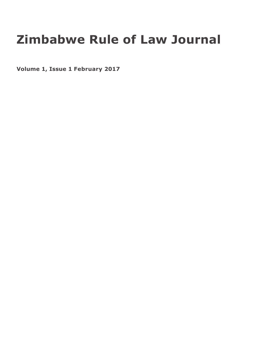# **Zimbabwe Rule of Law Journal**

**Volume 1, Issue 1 February 2017**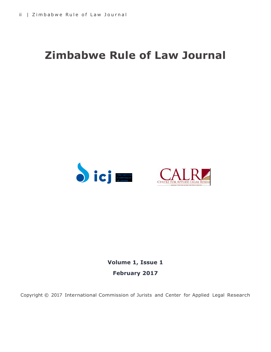## **Zimbabwe Rule of Law Journal**





**Volume 1, Issue 1 February 2017**

Copyright © 2017 International Commission of Jurists and Center for Applied Legal Research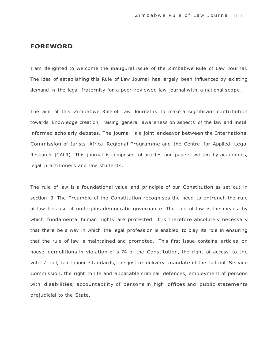#### **FOREWORD**

I am delighted to welcome the inaugural issue of the Zimbabwe Rule of Law Journal. The idea of establishing this Rule of Law Journal has largely been influenced by existing demand in the legal fraternity for a peer reviewed law journal with a national scope.

The aim of this Zimbabwe Rule of Law Journal is to make a significant contribution towards knowledge creation, raising general awareness on aspects of the law and instill informed scholarly debates. The journal is a joint endeavor between the International Commission of Jurists Africa Regional Programme and the Centre for Applied Legal Research (CALR). This journal is composed of articles and papers written by academics, legal practitioners and law students.

The rule of law is a foundational value and principle of our Constitution as set out in section 3. The Preamble of the Constitution recognises the need to entrench the rule of law because it underpins democratic governance. The rule of law is the means by which fundamental human rights are protected. It is therefore absolutely necessary that there be a way in which the legal profession is enabled to play its role in ensuring that the rule of law is maintained and promoted. This first issue contains articles on house demolitions in violation of s 74 of the Constitution, the right of access to the voters' roll, fair labour standards, the justice delivery mandate of the Judicial Service Commission, the right to life and applicable criminal defences, employment of persons with disabilities, accountability of persons in high offices and public statements prejudicial to the State.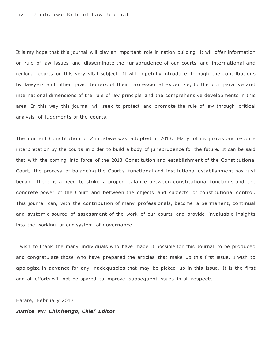#### iv | Zimbabwe Rule of Law Journal

It is my hope that this journal will play an important role in nation building. It will offer information on rule of law issues and disseminate the jurisprudence of our courts and international and regional courts on this very vital subject. It will hopefully introduce, through the contributions by lawyers and other practitioners of their professional expertise, to the comparative and international dimensions of the rule of law principle and the comprehensive developments in this area. In this way this journal will seek to protect and promote the rule of law through critical analysis of judgments of the courts.

The current Constitution of Zimbabwe was adopted in 2013. Many of its provisions require interpretation by the courts in order to build a body of jurisprudence for the future. It can be said that with the coming into force of the 2013 Constitution and establishment of the Constitutional Court, the process of balancing the Court's functional and institutional establishment has just began. There is a need to strike a proper balance between constitutional functions and the concrete power of the Court and between the objects and subjects of constitutional control. This journal can, with the contribution of many professionals, become a permanent, continual and systemic source of assessment of the work of our courts and provide invaluable insights into the working of our system of governance.

I wish to thank the many individuals who have made it possible for this Journal to be produced and congratulate those who have prepared the articles that make up this first issue. I wish to apologize in advance for any inadequacies that may be picked up in this issue. It is the first and all efforts will not be spared to improve subsequent issues in all respects.

Harare, February 2017

#### *Justice MH Chinhengo, Chief Editor*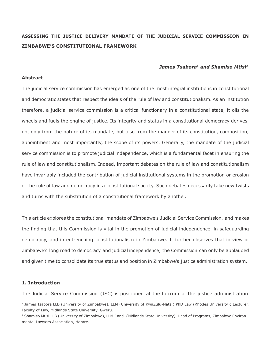### **ASSESSING THE JUSTICE DELIVERY MANDATE OF THE JUDICIAL SERVICE COMMISSION IN ZIMBABWE'S CONSTITUTIONAL FRAMEWORK**

#### *James Tsabora<sup>1</sup> and Shamiso Mtisi<sup>2</sup>*

#### **Abstract**

The judicial service commission has emerged as one of the most integral institutions in constitutional and democratic states that respect the ideals of the rule of law and constitutionalism. As an institution therefore, a judicial service commission is a critical functionary in a constitutional state; it oils the wheels and fuels the engine of justice. Its integrity and status in a constitutional democracy derives, not only from the nature of its mandate, but also from the manner of its constitution, composition, appointment and most importantly, the scope of its powers. Generally, the mandate of the judicial service commission is to promote judicial independence, which is a fundamental facet in ensuring the rule of law and constitutionalism. Indeed, important debates on the rule of law and constitutionalism have invariably included the contribution of judicial institutional systems in the promotion or erosion of the rule of law and democracy in a constitutional society. Such debates necessarily take new twists and turns with the substitution of a constitutional framework by another.

This article explores the constitutional mandate of Zimbabwe's Judicial Service Commission, and makes the finding that this Commission is vital in the promotion of judicial independence, in safeguarding democracy, and in entrenching constitutionalism in Zimbabwe. It further observes that in view of Zimbabwe's long road to democracy and judicial independence, the Commission can only be applauded and given time to consolidate its true status and position in Zimbabwe's justice administration system.

#### **1. Introduction**

The Judicial Service Commission (JSC) is positioned at the fulcrum of the justice administration

<sup>&</sup>lt;sup>1</sup> James Tsabora LLB (University of Zimbabwe), LLM (University of KwaZulu-Natal) PhD Law (Rhodes University); Lecturer, Faculty of Law, Midlands State University, Gweru.

<sup>&</sup>lt;sup>2</sup> Shamiso Mtisi LLB (University of Zimbabwe), LLM Cand. (Midlands State University), Head of Programs, Zimbabwe Environmental Lawyers Association, Harare.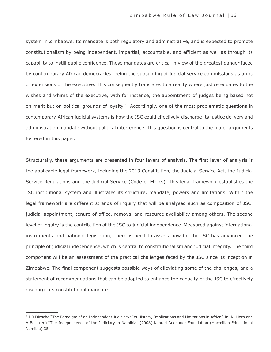system in Zimbabwe. Its mandate is both regulatory and administrative, and is expected to promote constitutionalism by being independent, impartial, accountable, and efficient as well as through its capability to instill public confidence. These mandates are critical in view of the greatest danger faced by contemporary African democracies, being the subsuming of judicial service commissions as arms or extensions of the executive. This consequently translates to a reality where justice equates to the wishes and whims of the executive, with for instance, the appointment of judges being based not on merit but on political grounds of loyalty.<sup>3</sup> Accordingly, one of the most problematic questions in contemporary African judicial systems is how the JSC could effectively discharge its justice delivery and administration mandate without political interference. This question is central to the major arguments fostered in this paper.

Structurally, these arguments are presented in four layers of analysis. The first layer of analysis is the applicable legal framework, including the 2013 Constitution, the Judicial Service Act, the Judicial Service Regulations and the Judicial Service (Code of Ethics). This legal framework establishes the JSC institutional system and illustrates its structure, mandate, powers and limitations. Within the legal framework are different strands of inquiry that will be analysed such as composition of JSC, judicial appointment, tenure of office, removal and resource availability among others. The second level of inquiry is the contribution of the JSC to judicial independence. Measured against international instruments and national legislation, there is need to assess how far the JSC has advanced the principle of judicial independence, which is central to constitutionalism and judicial integrity. The third component will be an assessment of the practical challenges faced by the JSC since its inception in Zimbabwe. The final component suggests possible ways of alleviating some of the challenges, and a statement of recommendations that can be adopted to enhance the capacity of the JSC to effectively discharge its constitutional mandate.

<sup>&</sup>lt;sup>3</sup> J.B Diescho "The Paradigm of an Independent Judiciary: Its History, Implications and Limitations in Africa", in N. Horn and A Bosl (ed) "The Independence of the Judiciary in Namibia" (2008) Konrad Adenauer Foundation (Macmillan Educational Namibia) 35.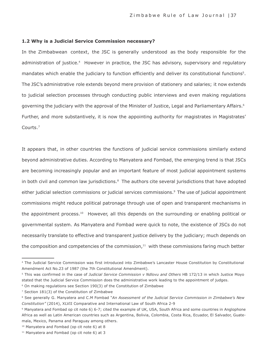#### **1.2 Why is a Judicial Service Commission necessary?**

In the Zimbabwean context, the JSC is generally understood as the body responsible for the administration of justice.<sup>4</sup> However in practice, the JSC has advisory, supervisory and regulatory mandates which enable the judiciary to function efficiently and deliver its constitutional functions<sup>5</sup>. The JSC's administrative role extends beyond mere provision of stationery and salaries; it now extends to judicial selection processes through conducting public interviews and even making regulations governing the judiciary with the approval of the Minister of Justice, Legal and Parliamentary Affairs. 6 Further, and more substantively, it is now the appointing authority for magistrates in Magistrates' Courts.<sup>7</sup>

It appears that, in other countries the functions of judicial service commissions similarly extend beyond administrative duties. According to Manyatera and Fombad, the emerging trend is that JSCs are becoming increasingly popular and an important feature of most judicial appointment systems in both civil and common law jurisdictions.<sup>8</sup> The authors cite several jurisdictions that have adopted either judicial selection commissions or judicial services commissions.9 The use of judicial appointment commissions might reduce political patronage through use of open and transparent mechanisms in the appointment process.<sup>10</sup> However, all this depends on the surrounding or enabling political or governmental system. As Manyatera and Fombad were quick to note, the existence of JSCs do not necessarily translate to effective and transparent justice delivery by the judiciary; much depends on the composition and competencies of the commission, $11$  with these commissions faring much better

<sup>4</sup>The Judicial Service Commission was first introduced into Zimbabwe's Lancaster House Constitution by Constitutional Amendment Act No.23 of 1987 (the 7th Constitutional Amendment).

<sup>5</sup>This was confirmed in the case of *Judicial Service Commission v Ndlovu and Others* HB 172/13 in which Justice Moyo stated that the Judicial Service Commission does the administrative work leading to the appointment of judges.

<sup>6</sup> On making regulations see Section 190(3) of the Constitution of Zimbabwe

<sup>7</sup> Section 181(3) of the Constitution of Zimbabwe

<sup>8</sup>See generally G. Manyatera and C.M Fombad "*An Assessment of the Judicial Service Commission in Zimbabwe's New Constitution"* (2014), XLVII Comparative and International Law of South Africa 2-9

<sup>9</sup> Manyatera and Fombad op cit note 6) 6-7; cited the example of UK, USA, South Africa and some countries in Anglophone Africa as well as Latin American countries such as Argentina, Bolivia, Colombia, Costa Rica, Ecuador, El Salvador, Guatemala, Mexico, Panama and Paraguay among others.

<sup>10</sup> Manyatera and Fombad (op cit note 6) at 8

<sup>&</sup>lt;sup>11</sup> Manyatera and Fombad (op cit note 6) at 3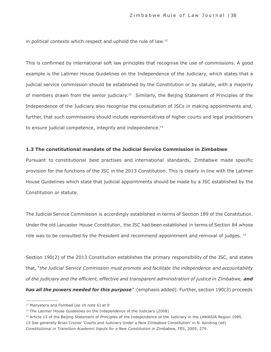in political contexts which respect and uphold the rule of law. 12

This is confirmed by international soft law principles that recognise the use of commissions. A good example is the Latimer House Guidelines on the Independence of the Judiciary, which states that a judicial service commission should be established by the Constitution or by statute, with a majority of members drawn from the senior judiciary.<sup>13</sup> Similarly, the Beijing Statement of Principles of the Independence of the Judiciary also recognise the consultation of JSCs in making appointments and, further, that such commissions should include representatives of higher courts and legal practitioners to ensure judicial competence, integrity and independence.<sup>14</sup>

#### **1.3 The constitutional mandate of the Judicial Service Commission in Zimbabwe**

Pursuant to constitutional best practises and international standards, Zimbabwe made specific provision for the functions of the JSC in the 2013 Constitution. This is clearly in line with the Latimer House Guidelines which state that judicial appointments should be made by a JSC established by the Constitution or statute.

The Judicial Service Commission is accordingly established in terms of Section 189 of the Constitution. Under the old Lancaster House Constitution, the JSC had been established in terms of Section 84 whose role was to be consulted by the President and recommend appointment and removal of judges. <sup>15</sup>

Section 190(2) of the 2013 Constitution establishes the primary responsibility of the JSC, and states that, "*the Judicial Service Commission must promote and facilitate the independence and accountability of the judiciary and the efficient, effective and transparent administration of justice in Zimbabwe, and has all the powers needed for this purpose"* (emphasis added). Further, section 190(3) proceeds

<sup>&</sup>lt;sup>12</sup> Manyatera and Fombad (op cit note 6) at 9

<sup>&</sup>lt;sup>13</sup> The Latimer House Guidelines on the Independence of the Judiciary (2008)

<sup>14</sup> Article 15 of the Beijing Statement of Principles of the Independence of the Judiciary in the LAWASIA Region 1995.

<sup>15</sup> See generally Brian Crozier 'Courts and Judiciary Under a New Zimbabwe Constitution' in N. Kersting (ed)

*Constitutional in Transition Academic Inputs for a New Constitution in Zimbabwe*, FES, 2005, 279.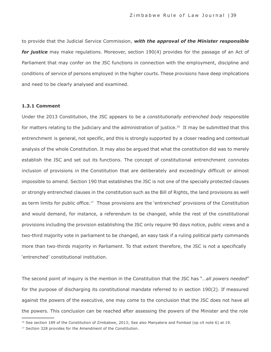to provide that the Judicial Service Commission, *with the approval of the Minister responsible for justice* may make regulations. Moreover, section 190(4) provides for the passage of an Act of Parliament that may confer on the JSC functions in connection with the employment, discipline and conditions of service of persons employed in the higher courts. These provisions have deep implications and need to be clearly analysed and examined.

#### **1.3.1 Comment**

Under the 2013 Constitution, the JSC appears to be a *constitutionally entrenched body* responsible for matters relating to the judiciary and the administration of justice.<sup>16</sup> It may be submitted that this entrenchment is general, not specific, and this is strongly supported by a closer reading and contextual analysis of the whole Constitution. It may also be argued that what the constitution did was to merely establish the JSC and set out its functions. The concept of constitutional entrenchment connotes inclusion of provisions in the Constitution that are deliberately and exceedingly difficult or almost impossible to amend. Section 190 that establishes the JSC is not one of the specially protected clauses or strongly entrenched clauses in the constitution such as the Bill of Rights, the land provisions as well as term limits for public office.<sup>17</sup> Those provisions are the 'entrenched' provisions of the Constitution and would demand, for instance, a referendum to be changed, while the rest of the constitutional provisions including the provision establishing the JSC only require 90 days notice, public views and a two-third majority vote in parliament to be changed, an easy task if a ruling political party commands more than two-thirds majority in Parliament. To that extent therefore, the JSC is not a specifically 'entrenched' constitutional institution.

The second point of inquiry is the mention in the Constitution that the JSC has "*…all powers needed*" for the purpose of discharging its constitutional mandate referred to in section 190(2). If measured against the powers of the executive, one may come to the conclusion that the JSC does not have all the powers. This conclusion can be reached after assessing the powers of the Minister and the role

<sup>16</sup> See section 189 of the Constitution of Zimbabwe, 2013; See also Manyatera and Fombad (op cit note 6) at 19.

<sup>&</sup>lt;sup>17</sup> Section 328 provides for the Amendment of the Constitution.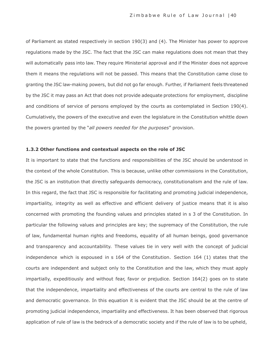of Parliament as stated respectively in section 190(3) and (4). The Minister has power to approve regulations made by the JSC. The fact that the JSC can make regulations does not mean that they will automatically pass into law. They require Ministerial approval and if the Minister does not approve them it means the regulations will not be passed. This means that the Constitution came close to granting the JSC law-making powers, but did not go far enough. Further, if Parliament feels threatened by the JSC it may pass an Act that does not provide adequate protections for employment, discipline and conditions of service of persons employed by the courts as contemplated in Section 190(4). Cumulatively, the powers of the executive and even the legislature in the Constitution whittle down the powers granted by the "*all powers needed for the purposes*" provision.

#### **1.3.2 Other functions and contextual aspects on the role of JSC**

It is important to state that the functions and responsibilities of the JSC should be understood in the context of the whole Constitution. This is because, unlike other commissions in the Constitution, the JSC is an institution that directly safeguards democracy, constitutionalism and the rule of law. In this regard, the fact that JSC is responsible for facilitating and promoting judicial independence, impartiality, integrity as well as effective and efficient delivery of justice means that it is also concerned with promoting the founding values and principles stated in s 3 of the Constitution. In particular the following values and principles are key; the supremacy of the Constitution, the rule of law, fundamental human rights and freedoms, equality of all human beings, good governance and transparency and accountability. These values tie in very well with the concept of judicial independence which is espoused in s 164 of the Constitution. Section 164 (1) states that the courts are independent and subject only to the Constitution and the law, which they must apply impartially, expeditiously and without fear, favor or prejudice. Section 164(2) goes on to state that the independence, impartiality and effectiveness of the courts are central to the rule of law and democratic governance. In this equation it is evident that the JSC should be at the centre of promoting judicial independence, impartiality and effectiveness. It has been observed that rigorous application of rule of law is the bedrock of a democratic society and if the rule of law is to be upheld,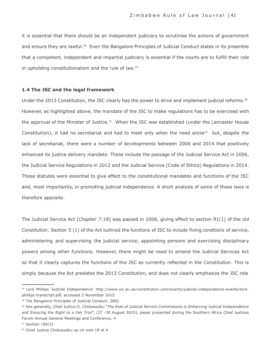it is essential that there should be an independent judiciary to scrutinise the actions of government and ensure they are lawful.18 Even the Bangalore Principles of Judicial Conduct states in its preamble that a competent, independent and impartial judiciary is essential if the courts are to fulfill their role in upholding constitutionalism and the rule of law. 19

#### **1.4 The JSC and the legal framework**

Under the 2013 Constitution, the JSC clearly has the power to drive and implement judicial reforms.<sup>20</sup> However, as highlighted above, the mandate of the JSC to make regulations has to be exercised with the approval of the Minister of Justice.<sup>21</sup> When the JSC was established (under the Lancaster House Constitution), it had no secretariat and had to meet only when the need arose<sup>22</sup> but, despite the lack of secretariat, there were a number of developments between 2006 and 2014 that positively enhanced its justice delivery mandate. These include the passage of the Judicial Service Act in 2006, the Judicial Service Regulations in 2012 and the Judicial Service (Code of Ethics) Regulations in 2014. These statutes were essential to give effect to the constitutional mandates and functions of the JSC and, most importantly, in promoting judicial independence. A short analysis of some of these laws is therefore apposite.

The Judicial Service Act [*Chapter 7:18*] was passed in 2006, giving effect to section 91(1) of the old Constitution. Section 5 (1) of the Act outlined the functions of JSC to include fixing conditions of service, administering and supervising the judicial service, appointing persons and exercising disciplinary powers among other functions. However, there might be need to amend the Judicial Services Act so that it clearly captures the functions of the JSC as currently reflected in the Constitution. This is simply because the Act predates the 2013 Constitution, and does not clearly emphasize the JSC role

<sup>&</sup>lt;sup>18</sup> Lord Phillips 'Judicial Independence' [http://www.ucl.ac.uk/constitution-unit/events/judicial-independence-events/lord](http://www.ucl.ac.uk/constitution-unit/events/judicial-independence-events/lord-)phillips-transcript.pdf, accessed 2 November 2015

<sup>19</sup> The Bangalore Principles of Judicial Conduct, 2002

<sup>20</sup> See generally, Chief Justice G. Chidyausiku "*The Role of Judicial Service Commissions in Enhancing Judicial Independence and Ensuring the Right to a Fair Trial*", (27 -30 August 2015), paper presented during the Southern Africa Chief Justices Forum Annual General Meetings and Conference, 4

<sup>&</sup>lt;sup>21</sup> Section 190(3)

<sup>22</sup> Chief Justice Chidyausiku op cit note 18 at 4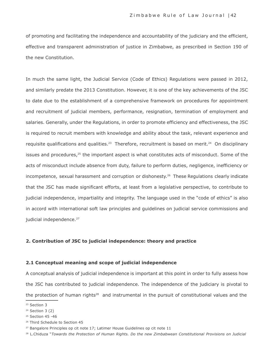of promoting and facilitating the independence and accountability of the judiciary and the efficient, effective and transparent administration of justice in Zimbabwe, as prescribed in Section 190 of the new Constitution.

In much the same light, the Judicial Service (Code of Ethics) Regulations were passed in 2012, and similarly predate the 2013 Constitution. However, it is one of the key achievements of the JSC to date due to the establishment of a comprehensive framework on procedures for appointment and recruitment of judicial members, performance, resignation, termination of employment and salaries. Generally, under the Regulations, in order to promote efficiency and effectiveness, the JSC is required to recruit members with knowledge and ability about the task, relevant experience and requisite qualifications and qualities.<sup>23</sup> Therefore, recruitment is based on merit.<sup>24</sup> On disciplinary issues and procedures,<sup>25</sup> the important aspect is what constitutes acts of misconduct. Some of the acts of misconduct include absence from duty, failure to perform duties, negligence, inefficiency or incompetence, sexual harassment and corruption or dishonesty.<sup>26</sup> These Regulations clearly indicate that the JSC has made significant efforts, at least from a legislative perspective, to contribute to judicial independence, impartiality and integrity. The language used in the "code of ethics" is also in accord with international soft law principles and guidelines on judicial service commissions and judicial independence.<sup>27</sup>

#### **2. Contribution of JSC to judicial independence: theory and practice**

#### **2.1 Conceptual meaning and scope of judicial independence**

A conceptual analysis of judicial independence is important at this point in order to fully assess how the JSC has contributed to judicial independence. The independence of the judiciary is pivotal to the protection of human rights<sup>28</sup> and instrumental in the pursuit of constitutional values and the

<sup>23</sup> Section 3

 $24$  Section 3 (2)

<sup>25</sup> Section 45 -46

<sup>26</sup> Third Schedule to Section 45

<sup>&</sup>lt;sup>27</sup> Bangalore Principles op cit note 17; Latimer House Guidelines op cit note 11

<sup>28</sup>L.Chiduza "*Towards the Protection of Human Rights. Do the new Zimbabwean Constitutional Provisions on Judicial*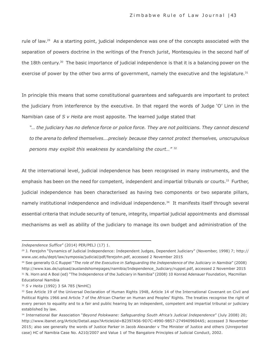rule of law.<sup>29</sup> As a starting point, judicial independence was one of the concepts associated with the separation of powers doctrine in the writings of the French jurist, Montesquieu in the second half of the 18th century.<sup>30</sup> The basic importance of judicial independence is that it is a balancing power on the exercise of power by the other two arms of government, namely the executive and the legislature.<sup>31</sup>

In principle this means that some constitutional guarantees and safeguards are important to protect the judiciary from interference by the executive. In that regard the words of Judge 'O' Linn in the Namibian case of *S v Heita* are most apposite. The learned judge stated that

*"… the judiciary has no defence force or police force. They are not politicians. They cannot descend to the arena to defend themselves….precisely because they cannot protect themselves, unscrupulous persons may exploit this weakness by scandalising the court…"* <sup>32</sup>

At the international level, judicial independence has been recognised in many instruments, and the emphasis has been on the need for competent, independent and impartial tribunals or courts.<sup>33</sup> Further, judicial independence has been characterised as having two components or two separate pillars, namely institutional independence and individual independence.<sup>34</sup> It manifests itself through several essential criteria that include security of tenure, integrity, impartial judicial appointments and dismissal mechanisms as well as ability of the judiciary to manage its own budget and administration of the

*Independence Suffice*" (2014) PER/PELJ (17) 1.

<sup>29</sup> J. Ferejohn "Dynamics of Judicial Independence: Independent Judges, Dependent Judiciary" (November, 1998) 7; http:// [www.usc.edu/dept/law/symposia/judicial/pdf/ferejohn.pdf](http://www.usc.edu/dept/law/symposia/judicial/pdf/ferejohn.pdf), accessed 2 November 2015

<sup>30</sup> See generally O.C Ruppel "*The role of the Executive in Safeguarding the Independence of the Judiciary in Namibia*" (2008) [http://www.kas.de/upload/auslandshomepages/namibia/Independence\\_Judiciary/ruppel.pdf,](http://www.kas.de/upload/auslandshomepages/namibia/Independence_Judiciary/ruppel.pdf) accessed 2 November 2015 <sup>31</sup> N. Horn and A Bosl (ed) "The Independence of the Judiciary in Namibia" (2008) 10 Konrad Adenauer Foundation, Macmillan Educational Namibia

<sup>32</sup> *S v Heita* (1992) 3 SA 785 (NmHC)

<sup>33</sup> See Article 19 of the Universal Declaration of Human Rights 1948, Article 14 of the International Covenant on Civil and Political Rights 1966 and Article 7 of the African Charter on Human and Peoples' Rights. The treaties recognise the right of every person to equality and to a fair and public hearing by an independent, competent and impartial tribunal or judiciary established by law.

<sup>34</sup>International Bar Association "*Beyond Polokwane: Safeguarding South Africa's Judicial Independence*" (July 2008) 20; [http://www.ibanet.org/Article/Detail.aspx?Ar](http://www.ibanet.org/Article/Detail.aspx)ticleUid=B2397A56-9D7C-4990-9B57-2749409604A5; accessed 3 November 2015; also see generally the words of Justice Parker in Jacob Alexander v The Minister of Justice and others (Unreported case) HC of Namibia Case No. A210/2007 and Value 1 of The Bangalore Principles of Judicial Conduct, 2002.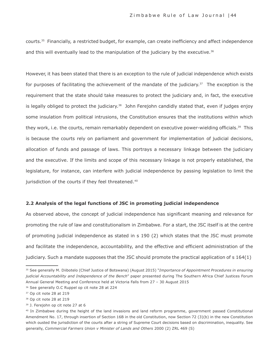courts. <sup>35</sup>Financially, a restricted budget, for example, can create inefficiency and affect independence and this will eventually lead to the manipulation of the judiciary by the executive.<sup>36</sup>

However, it has been stated that there is an exception to the rule of judicial independence which exists for purposes of facilitating the achievement of the mandate of the judiciary.<sup>37</sup> The exception is the requirement that the state should take measures to protect the judiciary and, in fact, the executive is legally obliged to protect the judiciary.<sup>38</sup> John Ferejohn candidly stated that, even if judges enjoy some insulation from political intrusions, the Constitution ensures that the institutions within which they work, i.e. the courts, remain remarkably dependent on executive power-wielding officials.<sup>39</sup> This is because the courts rely on parliament and government for implementation of judicial decisions, allocation of funds and passage of laws. This portrays a necessary linkage between the judiciary and the executive. If the limits and scope of this necessary linkage is not properly established, the legislature, for instance, can interfere with judicial independence by passing legislation to limit the jurisdiction of the courts if they feel threatened.<sup>40</sup>

#### **2.2 Analysis of the legal functions of JSC in promoting judicial independence**

As observed above, the concept of judicial independence has significant meaning and relevance for promoting the rule of law and constitutionalism in Zimbabwe. For a start, the JSC itself is at the centre of promoting judicial independence as stated in s 190 (2) which states that the JSC must promote and facilitate the independence, accountability, and the effective and efficient administration of the judiciary. Such a mandate supposes that the JSC should promote the practical application of s 164(1)

<sup>39</sup> J. Ferejohn op cit note 27 at 6

<sup>35</sup> See generally M. Diibotelo (Chief Justice of Botswana) (August 2015) "*Importance of Appointment Procedures in ensuring judicial Accountability and Independence of the Bench*" paper presented during The Southern Africa Chief Justices Forum Annual General Meeting and Conference held at Victoria Falls from 27 – 30 August 2015

<sup>36</sup> See generally O.C Ruppel op cit note 28 at 224

<sup>37</sup> Op cit note 28 at 219

<sup>38</sup> Op cit note 28 at 219

<sup>&</sup>lt;sup>40</sup> In Zimbabwe during the height of the land invasions and land reform programme, government passed Constitutional Amendment No. 17, through insertion of Section 16B in the old Constitution, now Section 72 (3)(b) in the new Constitution which ousted the jurisdiction of the courts after a string of Supreme Court decisions based on discrimination, inequality. See generally, *Commercial Farmers Union v Minister of Lands and Others* 2000 (2) ZRL 469 (S)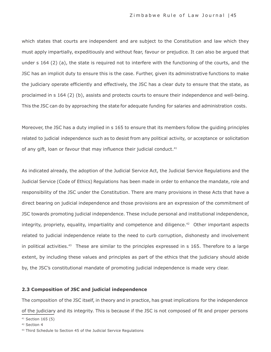which states that courts are independent and are subject to the Constitution and law which they must apply impartially, expeditiously and without fear, favour or prejudice. It can also be argued that under s 164 (2) (a), the state is required not to interfere with the functioning of the courts, and the JSC has an implicit duty to ensure this is the case. Further, given its administrative functions to make the judiciary operate efficiently and effectively, the JSC has a clear duty to ensure that the state, as proclaimed in s 164 (2) (b), assists and protects courts to ensure their independence and well-being. This the JSC can do by approaching the state for adequate funding for salaries and administration costs.

Moreover, the JSC has a duty implied in s 165 to ensure that its members follow the guiding principles related to judicial independence such as to desist from any political activity, or acceptance or solicitation of any gift, loan or favour that may influence their judicial conduct.<sup>41</sup>

As indicated already, the adoption of the Judicial Service Act, the Judicial Service Regulations and the Judicial Service (Code of Ethics) Regulations has been made in order to enhance the mandate, role and responsibility of the JSC under the Constitution. There are many provisions in these Acts that have a direct bearing on judicial independence and those provisions are an expression of the commitment of JSC towards promoting judicial independence. These include personal and institutional independence, integrity, propriety, equality, impartiality and competence and diligence.<sup>42</sup> Other important aspects related to judicial independence relate to the need to curb corruption, dishonesty and involvement in political activities.<sup>43</sup> These are similar to the principles expressed in s 165. Therefore to a large extent, by including these values and principles as part of the ethics that the judiciary should abide by, the JSC's constitutional mandate of promoting judicial independence is made very clear.

#### **2.3 Composition of JSC and judicial independence**

The composition of the JSC itself, in theory and in practice, has great implications for the independence of the judiciary and its integrity. This is because if the JSC is not composed of fit and proper persons <sup>41</sup> Section 165 (5)

<sup>42</sup> Section 4

<sup>43</sup> Third Schedule to Section 45 of the Judicial Service Regulations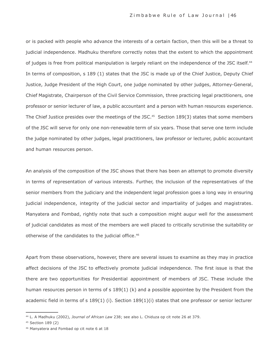or is packed with people who advance the interests of a certain faction, then this will be a threat to judicial independence. Madhuku therefore correctly notes that the extent to which the appointment of judges is free from political manipulation is largely reliant on the independence of the JSC itself.<sup>44</sup> In terms of composition, s 189 (1) states that the JSC is made up of the Chief Justice, Deputy Chief Justice, Judge President of the High Court, one judge nominated by other judges, Attorney-General, Chief Magistrate, Chairperson of the Civil Service Commission, three practicing legal practitioners, one professor or senior lecturer of law, a public accountant and a person with human resources experience. The Chief Justice presides over the meetings of the JSC.<sup>45</sup> Section 189(3) states that some members of the JSC will serve for only one non-renewable term of six years. Those that serve one term include the judge nominated by other judges, legal practitioners, law professor or lecturer, public accountant and human resources person.

An analysis of the composition of the JSC shows that there has been an attempt to promote diversity in terms of representation of various interests. Further, the inclusion of the representatives of the senior members from the judiciary and the independent legal profession goes a long way in ensuring judicial independence, integrity of the judicial sector and impartiality of judges and magistrates. Manyatera and Fombad, rightly note that such a composition might augur well for the assessment of judicial candidates as most of the members are well placed to critically scrutinise the suitability or otherwise of the candidates to the judicial office. 46

Apart from these observations, however, there are several issues to examine as they may in practice affect decisions of the JSC to effectively promote judicial independence. The first issue is that the there are two opportunities for Presidential appointment of members of JSC. These include the human resources person in terms of s 189(1) (k) and a possible appointee by the President from the academic field in terms of s 189(1) (i). Section 189(1)(i) states that one professor or senior lecturer

<sup>44</sup> L. A Madhuku (2002), *Journal of African Law* 238; see also L. Chiduza op cit note 26 at 379.

<sup>45</sup> Section 189 (2)

<sup>46</sup> Manyatera and Fombad op cit note 6 at 18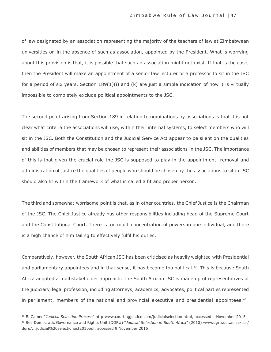of law designated by an association representing the majority of the teachers of law at Zimbabwean universities or, in the absence of such as association, appointed by the President. What is worrying about this provision is that, it is possible that such an association might not exist. If that is the case, then the President will make an appointment of a senior law lecturer or a professor to sit in the JSC for a period of six years. Section  $189(1)(i)$  and  $(k)$  are just a simple indication of how it is virtually impossible to completely exclude political appointments to the JSC.

The second point arising from Section 189 in relation to nominations by associations is that it is not clear what criteria the associations will use, within their internal systems, to select members who will sit in the JSC. Both the Constitution and the Judicial Service Act appear to be silent on the qualities and abilities of members that may be chosen to represent their associations in the JSC. The importance of this is that given the crucial role the JSC is supposed to play in the appointment, removal and administration of justice the qualities of people who should be chosen by the associations to sit in JSC should also fit within the framework of what is called a fit and proper person.

The third and somewhat worrisome point is that, as in other countries, the Chief Justice is the Chairman of the JSC. The Chief Justice already has other responsibilities including head of the Supreme Court and the Constitutional Court. There is too much concentration of powers in one individual, and there is a high chance of him failing to effectively fulfil his duties.

Comparatively, however, the South African JSC has been criticised as heavily weighted with Presidential and parliamentary appointees and in that sense, it has become too political.<sup>47</sup> This is because South Africa adopted a multistakeholder approach. The South African JSC is made up of representatives of the judiciary, legal profession, including attorneys, academics, advocates, political parties represented in parliament, members of the national and provincial executive and presidential appointees.<sup>48</sup>

<sup>47</sup> E. Camer "*Judicial Selection Process*" [http:www.courtingjustice.com/judicialselection.html,](http://www.courtingjustice.com/judicialselection.html) accessed 4 November 2015 <sup>48</sup> See Democratic Governance and Rights Unit (DGRU) "*Judicial Selection in South Africa*" (2010) [www.dgru.uct.ac.za/usr/](http://www.dgru.uct.ac.za/usr/) dgru/...judicial%20selectionoct2010pdf, accessed 9 November 2015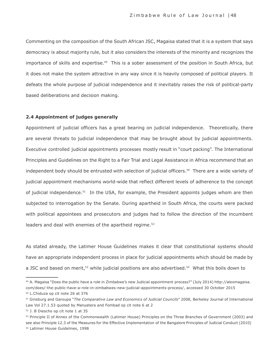Commenting on the composition of the South African JSC, Magaisa stated that it is a system that says democracy is about majority rule, but it also considers the interests of the minority and recognizes the importance of skills and expertise.<sup>49</sup> This is a sober assessment of the position in South Africa, but it does not make the system attractive in any way since it is heavily composed of political players. It defeats the whole purpose of judicial independence and it inevitably raises the risk of political-party based deliberations and decision making.

#### **2.4 Appointment of judges generally**

Appointment of judicial officers has a great bearing on judicial independence. Theoretically, there are several threats to judicial independence that may be brought about by judicial appointments. Executive controlled judicial appointments processes mostly result in "court packing". The International Principles and Guidelines on the Right to a Fair Trial and Legal Assistance in Africa recommend that an independent body should be entrusted with selection of judicial officers.<sup>50</sup> There are a wide variety of judicial appointment mechanisms world-wide that reflect different levels of adherence to the concept of judicial independence.<sup>51</sup> In the USA, for example, the President appoints judges whom are then subjected to interrogation by the Senate. During apartheid in South Africa, the courts were packed with political appointees and prosecutors and judges had to follow the direction of the incumbent leaders and deal with enemies of the apartheid regime. 52

As stated already, the Latimer House Guidelines makes it clear that constitutional systems should have an appropriate independent process in place for judicial appointments which should be made by a JSC and based on merit,<sup>53</sup> while judicial positions are also advertised.<sup>54</sup> What this boils down to

<sup>49</sup> A. Magaisa "Does the public have a role in Zimbabwe's new Judicial appointment process?" (July 2014) [http://alexmagaisa.](http://alexmagaisa/) com/does/-the-public-have-a-role-in-zimbabwes-new-judicial-appointments-process/, accessed 30 October 2015 <sup>50</sup> L.Chiduza op cit note 26 at 376

<sup>51</sup> Ginsburg and Garoupa "*The Comparative Law and Economics of Judicial Councils*" 2008, Berkeley Journal of International Law Vol 27.1.53 quoted by Manyatera and Fombad op cit note 6 at 2

<sup>52</sup> J. B Diescho op cit note 1 at 35

<sup>53</sup> Principle II of Annex of the Commonwealth (Latimer House) Principles on the Three Branches of Government (2003) and see also Principle 12.3 of the Measures for the Effective Implementation of the Bangalore Principles of Judicial Conduct (2010) <sup>54</sup> Latimer House Guidelines, 1998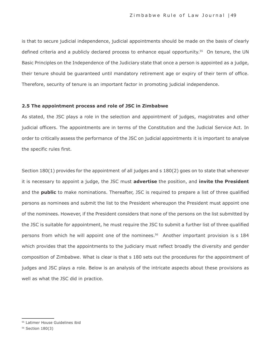is that to secure judicial independence, judicial appointments should be made on the basis of clearly defined criteria and a publicly declared process to enhance equal opportunity.<sup>55</sup> On tenure, the UN Basic Principles on the Independence of the Judiciary state that once a person is appointed as a judge, their tenure should be guaranteed until mandatory retirement age or expiry of their term of office. Therefore, security of tenure is an important factor in promoting judicial independence.

#### **2.5 The appointment process and role of JSC in Zimbabwe**

As stated, the JSC plays a role in the selection and appointment of judges, magistrates and other judicial officers. The appointments are in terms of the Constitution and the Judicial Service Act. In order to critically assess the performance of the JSC on judicial appointments it is important to analyse the specific rules first.

Section 180(1) provides for the appointment of all judges and s 180(2) goes on to state that whenever it is necessary to appoint a judge, the JSC must **advertise** the position, and **invite the President**  and the **public** to make nominations. Thereafter, JSC is required to prepare a list of three qualified persons as nominees and submit the list to the President whereupon the President must appoint one of the nominees. However, if the President considers that none of the persons on the list submitted by the JSC is suitable for appointment, he must require the JSC to submit a further list of three qualified persons from which he will appoint one of the nominees. <sup>56</sup>Another important provision is s 184 which provides that the appointments to the judiciary must reflect broadly the diversity and gender composition of Zimbabwe. What is clear is that s 180 sets out the procedures for the appointment of judges and JSC plays a role. Below is an analysis of the intricate aspects about these provisions as well as what the JSC did in practice.

<sup>55</sup> Latimer House Guidelines ibid

<sup>56</sup> Section 180(3)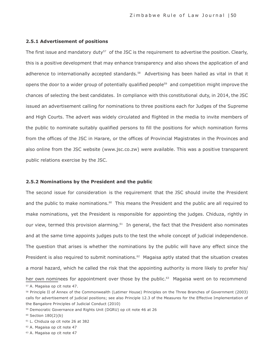#### **2.5.1 Advertisement of positions**

The first issue and mandatory duty<sup>57</sup> of the JSC is the requirement to advertise the position. Clearly, this is a positive development that may enhance transparency and also shows the application of and adherence to internationally accepted standards.<sup>58</sup> Advertising has been hailed as vital in that it opens the door to a wider group of potentially qualified people<sup>59</sup> and competition might improve the chances of selecting the best candidates. In compliance with this constitutional duty, in 2014, the JSC issued an advertisement calling for nominations to three positions each for Judges of the Supreme and High Courts. The advert was widely circulated and flighted in the media to invite members of the public to nominate suitably qualified persons to fill the positions for which nomination forms from the offices of the JSC in Harare, or the offices of Provincial Magistrates in the Provinces and also online from the JSC website [\(www.jsc.co.zw\)](http://www.jsc.co.zw/) were available. This was a positive transparent public relations exercise by the JSC.

#### **2.5.2 Nominations by the President and the public**

The second issue for consideration is the requirement that the JSC should invite the President and the public to make nominations.<sup>60</sup> This means the President and the public are all required to make nominations, yet the President is responsible for appointing the judges. Chiduza, rightly in our view, termed this provision alarming.<sup>61</sup> In general, the fact that the President also nominates and at the same time appoints judges puts to the test the whole concept of judicial independence. The question that arises is whether the nominations by the public will have any effect since the President is also required to submit nominations.<sup>62</sup> Magaisa aptly stated that the situation creates a moral hazard, which he called the risk that the appointing authority is more likely to prefer his/ her own nominees for appointment over those by the public.<sup>63</sup> Magaisa went on to recommend <sup>57</sup> A. Magaisa op cit note 47.

<sup>58</sup> Principle II of Annex of the Commonwealth (Latimer House) Principles on the Three Branches of Government (2003) calls for advertisement of judicial positions; see also Principle 12.3 of the Measures for the Effective Implementation of the Bangalore Principles of Judicial Conduct (2010)

<sup>59</sup> Democratic Governance and Rights Unit (DGRU) op cit note 46 at 26

<sup>60</sup> Section 180(2)(b)

<sup>61</sup> L. Chiduza op cit note 26 at 382

<sup>62</sup> A. Magaisa op cit note 47

<sup>63</sup> A. Magaisa op cit note 47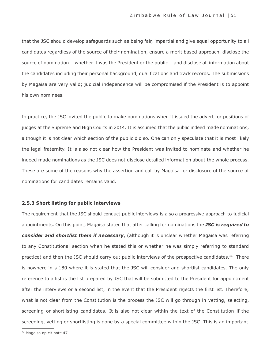that the JSC should develop safeguards such as being fair, impartial and give equal opportunity to all candidates regardless of the source of their nomination, ensure a merit based approach, disclose the source of nomination — whether it was the President or the public — and disclose all information about the candidates including their personal background, qualifications and track records. The submissions by Magaisa are very valid; judicial independence will be compromised if the President is to appoint his own nominees.

In practice, the JSC invited the public to make nominations when it issued the advert for positions of judges at the Supreme and High Courts in 2014. It is assumed that the public indeed made nominations, although it is not clear which section of the public did so. One can only speculate that it is most likely the legal fraternity. It is also not clear how the President was invited to nominate and whether he indeed made nominations as the JSC does not disclose detailed information about the whole process. These are some of the reasons why the assertion and call by Magaisa for disclosure of the source of nominations for candidates remains valid.

#### **2.5.3 Short listing for public interviews**

The requirement that the JSC should conduct public interviews is also a progressive approach to judicial appointments. On this point, Magaisa stated that after calling for nominations the *JSC is required to consider and shortlist them if necessary*, (although it is unclear whether Magaisa was referring to any Constitutional section when he stated this or whether he was simply referring to standard practice) and then the JSC should carry out public interviews of the prospective candidates.64 There is nowhere in s 180 where it is stated that the JSC will consider and shortlist candidates. The only reference to a list is the list prepared by JSC that will be submitted to the President for appointment after the interviews or a second list, in the event that the President rejects the first list. Therefore, what is not clear from the Constitution is the process the JSC will go through in vetting, selecting, screening or shortlisting candidates. It is also not clear within the text of the Constitution if the screening, vetting or shortlisting is done by a special committee within the JSC. This is an important

<sup>64</sup> Magaisa op cit note 47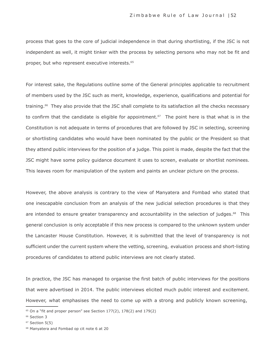process that goes to the core of judicial independence in that during shortlisting, if the JSC is not independent as well, it might tinker with the process by selecting persons who may not be fit and proper, but who represent executive interests.<sup>65</sup>

For interest sake, the Regulations outline some of the General principles applicable to recruitment of members used by the JSC such as merit, knowledge, experience, qualifications and potential for training.<sup>66</sup> They also provide that the JSC shall complete to its satisfaction all the checks necessary to confirm that the candidate is eligible for appointment.<sup>67</sup> The point here is that what is in the Constitution is not adequate in terms of procedures that are followed by JSC in selecting, screening or shortlisting candidates who would have been nominated by the public or the President so that they attend public interviews for the position of a judge. This point is made, despite the fact that the JSC might have some policy guidance document it uses to screen, evaluate or shortlist nominees. This leaves room for manipulation of the system and paints an unclear picture on the process.

However, the above analysis is contrary to the view of Manyatera and Fombad who stated that one inescapable conclusion from an analysis of the new judicial selection procedures is that they are intended to ensure greater transparency and accountability in the selection of judges.<sup>68</sup> This general conclusion is only acceptable if this new process is compared to the unknown system under the Lancaster House Constitution. However, it is submitted that the level of transparency is not sufficient under the current system where the vetting, screening, evaluation process and short-listing procedures of candidates to attend public interviews are not clearly stated.

In practice, the JSC has managed to organise the first batch of public interviews for the positions that were advertised in 2014. The public interviews elicited much public interest and excitement. However, what emphasises the need to come up with a strong and publicly known screening,

<sup>&</sup>lt;sup>65</sup> On a "fit and proper person" see Section 177(2), 178(2) and 179(2)

<sup>&</sup>lt;sup>66</sup> Section 3

 $67$  Section  $5(5)$ 

<sup>68</sup> Manyatera and Fombad op cit note 6 at 20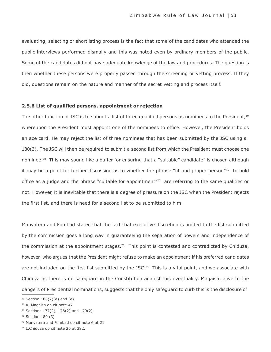evaluating, selecting or shortlisting process is the fact that some of the candidates who attended the public interviews performed dismally and this was noted even by ordinary members of the public. Some of the candidates did not have adequate knowledge of the law and procedures. The question is then whether these persons were properly passed through the screening or vetting process. If they did, questions remain on the nature and manner of the secret vetting and process itself.

#### **2.5.6 List of qualified persons, appointment or rejection**

The other function of JSC is to submit a list of three qualified persons as nominees to the President,<sup>69</sup> whereupon the President must appoint one of the nominees to office. However, the President holds an ace card. He may reject the list of three nominees that has been submitted by the JSC using s 180(3). The JSC will then be required to submit a second list from which the President must choose one nominee.<sup>70</sup> This may sound like a buffer for ensuring that a "suitable" candidate" is chosen although it may be a point for further discussion as to whether the phrase "fit and proper person"<sup>71</sup> to hold office as a judge and the phrase "suitable for appointment" $72$  are referring to the same qualities or not. However, it is inevitable that there is a degree of pressure on the JSC when the President rejects the first list, and there is need for a second list to be submitted to him.

Manyatera and Fombad stated that the fact that executive discretion is limited to the list submitted by the commission goes a long way in guaranteeing the separation of powers and independence of the commission at the appointment stages.<sup>73</sup> This point is contested and contradicted by Chiduza, however, who argues that the President might refuse to make an appointment if his preferred candidates are not included on the first list submitted by the JSC.<sup>74</sup> This is a vital point, and we associate with Chiduza as there is no safeguard in the Constitution against this eventuality. Magaisa, alive to the dangers of Presidential nominations, suggests that the only safeguard to curb this is the disclosure of

 $69$  Section 180(2)(d) and (e)

<sup>70</sup> A. Magaisa op cit note 47

<sup>71</sup> Sections 177(2), 178(2) and 179(2)

<sup>72</sup> Section 180 (3)

<sup>73</sup> Manyatera and Fombad op cit note 6 at 21

<sup>74</sup> L.Chiduza op cit note 26 at 382.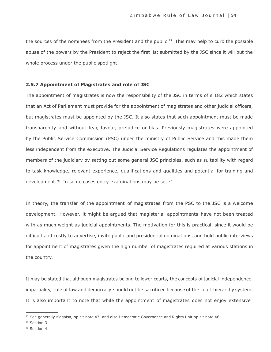the sources of the nominees from the President and the public.<sup>75</sup> This may help to curb the possible abuse of the powers by the President to reject the first list submitted by the JSC since it will put the whole process under the public spotlight.

#### **2.5.7 Appointment of Magistrates and role of JSC**

The appointment of magistrates is now the responsibility of the JSC in terms of s 182 which states that an Act of Parliament must provide for the appointment of magistrates and other judicial officers, but magistrates must be appointed by the JSC. It also states that such appointment must be made transparently and without fear, favour, prejudice or bias. Previously magistrates were appointed by the Public Service Commission (PSC) under the ministry of Public Service and this made them less independent from the executive. The Judicial Service Regulations regulates the appointment of members of the judiciary by setting out some general JSC principles, such as suitability with regard to task knowledge, relevant experience, qualifications and qualities and potential for training and development.<sup>76</sup> In some cases entry examinations may be set.<sup>77</sup>

In theory, the transfer of the appointment of magistrates from the PSC to the JSC is a welcome development. However, it might be argued that magisterial appointments have not been treated with as much weight as judicial appointments. The motivation for this is practical, since it would be difficult and costly to advertise, invite public and presidential nominations, and hold public interviews for appointment of magistrates given the high number of magistrates required at various stations in the country.

It may be stated that although magistrates belong to lower courts, the concepts of judicial independence, impartiality, rule of law and democracy should not be sacrificed because of the court hierarchy system. It is also important to note that while the appointment of magistrates does not enjoy extensive

<sup>75</sup> See generally Magaisa, op cit note 47, and also Democratic Governance and Rights Unit op cit note 46.

<sup>76</sup> Section 3

<sup>77</sup> Section 4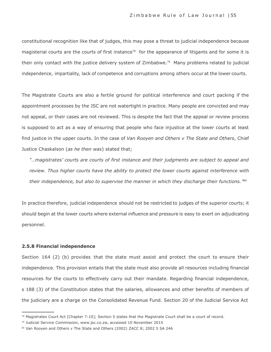constitutional recognition like that of judges, this may pose a threat to judicial independence because magisterial courts are the courts of first instance<sup>78</sup> for the appearance of litigants and for some it is their only contact with the justice delivery system of Zimbabwe.<sup>79</sup> Many problems related to judicial independence, impartiality, lack of competence and corruptions among others occur at the lower courts.

The Magistrate Courts are also a fertile ground for political interference and court packing if the appointment processes by the JSC are not watertight in practice. Many people are convicted and may not appeal, or their cases are not reviewed. This is despite the fact that the appeal or review process is supposed to act as a way of ensuring that people who face injustice at the lower courts at least find justice in the upper courts. In the case of *Van Rooyen and Others v The State and Others*, Chief Justice Chaskalson (*as he then was*) stated that;

*"…magistrates' courts are courts of first instance and their judgments are subject to appeal and review. Thus higher courts have the ability to protect the lower courts against interference with their independence, but also to supervise the manner in which they discharge their functions." 80*

In practice therefore, judicial independence should not be restricted to judges of the superior courts; it should begin at the lower courts where external influence and pressure is easy to exert on adjudicating personnel.

#### **2.5.8 Financial independence**

Section 164 (2) (b) provides that the state must assist and protect the court to ensure their independence. This provision entails that the state must also provide all resources including financial resources for the courts to effectively carry out their mandate. Regarding financial independence, s 188 (3) of the Constitution states that the salaries, allowances and other benefits of members of the judiciary are a charge on the Consolidated Revenue Fund. Section 20 of the Judicial Service Act

 $78$  Magistrates Court Act [Chapter 7:10]; Section 5 states that the Magistrate Court shall be a court of record.

<sup>79</sup> Judicial Service Commission, [www.jsc.co.zw](http://www.jsc.co.zw/), accessed 10 November 2015

<sup>80</sup> Van Rooyen and Others v The State and Others (2002) ZACC 8; 2002 5 SA 246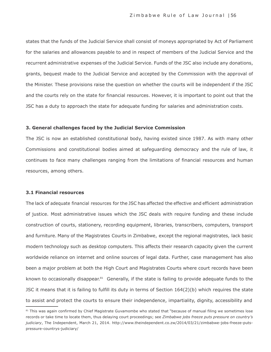states that the funds of the Judicial Service shall consist of moneys appropriated by Act of Parliament for the salaries and allowances payable to and in respect of members of the Judicial Service and the recurrent administrative expenses of the Judicial Service. Funds of the JSC also include any donations, grants, bequest made to the Judicial Service and accepted by the Commission with the approval of the Minister. These provisions raise the question on whether the courts will be independent if the JSC and the courts rely on the state for financial resources. However, it is important to point out that the JSC has a duty to approach the state for adequate funding for salaries and administration costs.

#### **3. General challenges faced by the Judicial Service Commission**

The JSC is now an established constitutional body, having existed since 1987. As with many other Commissions and constitutional bodies aimed at safeguarding democracy and the rule of law, it continues to face many challenges ranging from the limitations of financial resources and human resources, among others.

#### **3.1 Financial resources**

The lack of adequate financial resources for the JSC has affected the effective and efficient administration of justice. Most administrative issues which the JSC deals with require funding and these include construction of courts, stationery, recording equipment, libraries, transcribers, computers, transport and furniture. Many of the Magistrates Courts in Zimbabwe, except the regional magistrates, lack basic modern technology such as desktop computers. This affects their research capacity given the current worldwide reliance on internet and online sources of legal data. Further, case management has also been a major problem at both the High Court and Magistrates Courts where court records have been known to occasionally disappear.<sup>81</sup> Generally, if the state is failing to provide adequate funds to the JSC it means that it is failing to fulfill its duty in terms of Section 164(2)(b) which requires the state to assist and protect the courts to ensure their independence, impartiality, dignity, accessibility and

<sup>81</sup> This was again confirmed by Chief Magistrate Guvamombe who stated that "because of manual filing we sometimes lose records or take time to locate them, thus delaying court proceedings; see *Zimbabwe jobs freeze puts pressure on country's judiciary*, The Independent, March 21, 2014. [http://www.theindependent.co.zw/2014/03/21/zimbabwe-jobs-freeze-puts](http://www.theindependent.co.zw/2014/03/21/zimbabwe-jobs-freeze-puts-)pressure-countrys-judiciary/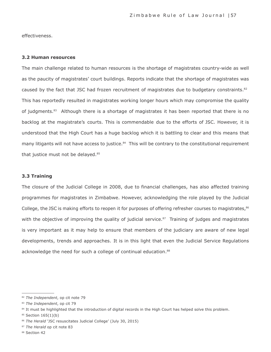effectiveness.

#### **3.2 Human resources**

The main challenge related to human resources is the shortage of magistrates country-wide as well as the paucity of magistrates' court buildings. Reports indicate that the shortage of magistrates was caused by the fact that JSC had frozen recruitment of magistrates due to budgetary constraints.<sup>82</sup> This has reportedly resulted in magistrates working longer hours which may compromise the quality of judgments.<sup>83</sup> Although there is a shortage of magistrates it has been reported that there is no backlog at the magistrate's courts. This is commendable due to the efforts of JSC. However, it is understood that the High Court has a huge backlog which it is battling to clear and this means that many litigants will not have access to justice.<sup>84</sup> This will be contrary to the constitutional requirement that justice must not be delayed.<sup>85</sup>

#### **3.3 Training**

The closure of the Judicial College in 2008, due to financial challenges, has also affected training programmes for magistrates in Zimbabwe. However, acknowledging the role played by the Judicial College, the JSC is making efforts to reopen it for purposes of offering refresher courses to magistrates,<sup>86</sup> with the objective of improving the quality of judicial service. $87$  Training of judges and magistrates is very important as it may help to ensure that members of the judiciary are aware of new legal developments, trends and approaches. It is in this light that even the Judicial Service Regulations acknowledge the need for such a college of continual education. 88

<sup>82</sup> *The Independent*, op cit note 79

<sup>83</sup> *The Independent*, op cit 79

<sup>84</sup> It must be highlighted that the introduction of digital records in the High Court has helped solve this problem.

<sup>85</sup> Section 165(1)(b)

<sup>86</sup> *The Herald* 'JSC resuscitates Judicial College' (July 30, 2015)

<sup>87</sup> *The Herald* op cit note 83

<sup>88</sup> Section 42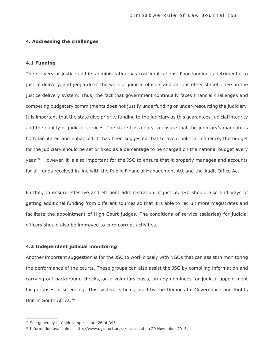#### **4. Addressing the challenges**

#### **4.1 Funding**

The delivery of justice and its administration has cost implications. Poor funding is detrimental to justice delivery, and jeopardizes the work of judicial officers and various other stakeholders in the justice delivery system. Thus, the fact that government continually faces financial challenges and competing budgetary commitments does not justify underfunding or under-resourcing the judiciary. It is important that the state give priority funding to the judiciary as this guarantees judicial integrity and the quality of judicial services. The state has a duty to ensure that the judiciary's mandate is both facilitated and enhanced. It has been suggested that to avoid political influence, the budget for the judiciary should be set or fixed as a percentage to be charged on the national budget every year.<sup>89</sup> However, it is also important for the JSC to ensure that it properly manages and accounts for all funds received in line with the Public Financial Management Act and the Audit Office Act.

Further, to ensure effective and efficient administration of justice, JSC should also find ways of getting additional funding from different sources so that it is able to recruit more magistrates and facilitate the appointment of High Court judges. The conditions of service (salaries) for judicial officers should also be improved to curb corrupt activities.

#### **4.2 Independent judicial monitoring**

Another important suggestion is for the JSC to work closely with NGOs that can assist in monitoring the performance of the courts. These groups can also assist the JSC by compiling information and carrying out background checks, on a voluntary basis, on any nominees for judicial appointment for purposes of screening. This system is being used by the Democratic Governance and Rights Unit in South Africa.<sup>90</sup>

<sup>89</sup> See generally L. Chiduza op cit note 26 at 395

<sup>90</sup> Information available at <http://www.dgru.uct.ac.za/> accessed on 20 November 2015.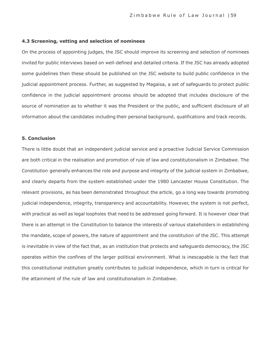#### **4.3 Screening, vetting and selection of nominees**

On the process of appointing judges, the JSC should improve its screening and selection of nominees invited for public interviews based on well-defined and detailed criteria. If the JSC has already adopted some guidelines then these should be published on the JSC website to build public confidence in the judicial appointment process. Further, as suggested by Magaisa, a set of safeguards to protect public confidence in the judicial appointment process should be adopted that includes disclosure of the source of nomination as to whether it was the President or the public, and sufficient disclosure of all information about the candidates including their personal background, qualifications and track records.

#### **5. Conclusion**

There is little doubt that an independent judicial service and a proactive Judicial Service Commission are both critical in the realisation and promotion of rule of law and constitutionalism in Zimbabwe. The Constitution generally enhances the role and purpose and integrity of the judicial system in Zimbabwe, and clearly departs from the system established under the 1980 Lancaster House Constitution. The relevant provisions, as has been demonstrated throughout the article, go a long way towards promoting judicial independence, integrity, transparency and accountability. However, the system is not perfect, with practical as well as legal loopholes that need to be addressed going forward. It is however clear that there is an attempt in the Constitution to balance the interests of various stakeholders in establishing the mandate, scope of powers, the nature of appointment and the constitution of the JSC. This attempt is inevitable in view of the fact that, as an institution that protects and safeguards democracy, the JSC operates within the confines of the larger political environment. What is inescapable is the fact that this constitutional institution greatly contributes to judicial independence, which in turn is critical for the attainment of the rule of law and constitutionalism in Zimbabwe.